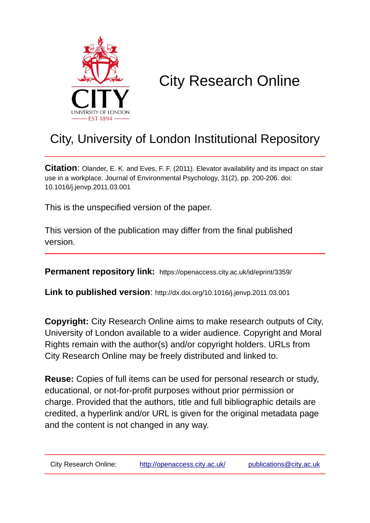

# City Research Online

# City, University of London Institutional Repository

**Citation**: Olander, E. K. and Eves, F. F. (2011). Elevator availability and its impact on stair use in a workplace. Journal of Environmental Psychology, 31(2), pp. 200-206. doi: 10.1016/j.jenvp.2011.03.001

This is the unspecified version of the paper.

This version of the publication may differ from the final published version.

**Permanent repository link:** https://openaccess.city.ac.uk/id/eprint/3359/

**Link to published version**: http://dx.doi.org/10.1016/j.jenvp.2011.03.001

**Copyright:** City Research Online aims to make research outputs of City, University of London available to a wider audience. Copyright and Moral Rights remain with the author(s) and/or copyright holders. URLs from City Research Online may be freely distributed and linked to.

**Reuse:** Copies of full items can be used for personal research or study, educational, or not-for-profit purposes without prior permission or charge. Provided that the authors, title and full bibliographic details are credited, a hyperlink and/or URL is given for the original metadata page and the content is not changed in any way.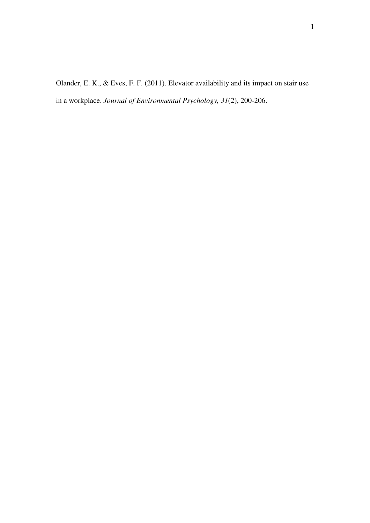Olander, E. K., & Eves, F. F. (2011). Elevator availability and its impact on stair use in a workplace. *Journal of Environmental Psychology, 31*(2), 200-206.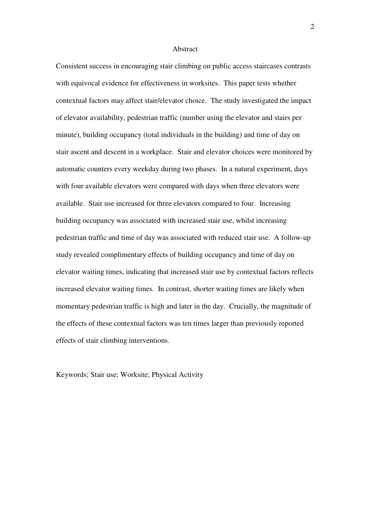#### Abstract

Consistent success in encouraging stair climbing on public access staircases contrasts with equivocal evidence for effectiveness in worksites. This paper tests whether contextual factors may affect stair/elevator choice. The study investigated the impact of elevator availability, pedestrian traffic (number using the elevator and stairs per minute), building occupancy (total individuals in the building) and time of day on stair ascent and descent in a workplace. Stair and elevator choices were monitored by automatic counters every weekday during two phases. In a natural experiment, days with four available elevators were compared with days when three elevators were available. Stair use increased for three elevators compared to four. Increasing building occupancy was associated with increased stair use, whilst increasing pedestrian traffic and time of day was associated with reduced stair use. A follow-up study revealed complimentary effects of building occupancy and time of day on elevator waiting times, indicating that increased stair use by contextual factors reflects increased elevator waiting times. In contrast, shorter waiting times are likely when momentary pedestrian traffic is high and later in the day. Crucially, the magnitude of the effects of these contextual factors was ten times larger than previously reported effects of stair climbing interventions.

Keywords; Stair use; Worksite; Physical Activity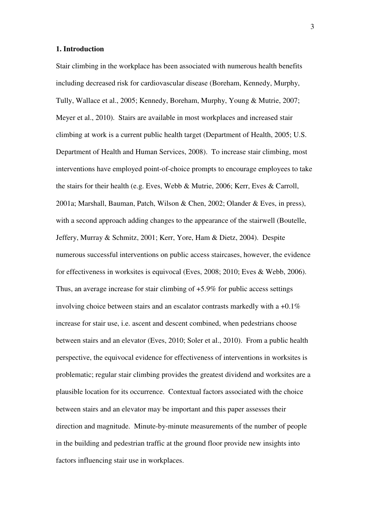#### **1. Introduction**

Stair climbing in the workplace has been associated with numerous health benefits including decreased risk for cardiovascular disease (Boreham, Kennedy, Murphy, Tully, Wallace et al., 2005; Kennedy, Boreham, Murphy, Young & Mutrie, 2007; Meyer et al., 2010). Stairs are available in most workplaces and increased stair climbing at work is a current public health target (Department of Health, 2005; U.S. Department of Health and Human Services, 2008). To increase stair climbing, most interventions have employed point-of-choice prompts to encourage employees to take the stairs for their health (e.g. Eves, Webb & Mutrie, 2006; Kerr, Eves & Carroll, 2001a; Marshall, Bauman, Patch, Wilson & Chen, 2002; Olander & Eves, in press), with a second approach adding changes to the appearance of the stairwell (Boutelle, Jeffery, Murray & Schmitz, 2001; Kerr, Yore, Ham & Dietz, 2004). Despite numerous successful interventions on public access staircases, however, the evidence for effectiveness in worksites is equivocal (Eves, 2008; 2010; Eves & Webb, 2006). Thus, an average increase for stair climbing of +5.9% for public access settings involving choice between stairs and an escalator contrasts markedly with a  $+0.1\%$ increase for stair use, i.e. ascent and descent combined, when pedestrians choose between stairs and an elevator (Eves, 2010; Soler et al., 2010). From a public health perspective, the equivocal evidence for effectiveness of interventions in worksites is problematic; regular stair climbing provides the greatest dividend and worksites are a plausible location for its occurrence. Contextual factors associated with the choice between stairs and an elevator may be important and this paper assesses their direction and magnitude. Minute-by-minute measurements of the number of people in the building and pedestrian traffic at the ground floor provide new insights into factors influencing stair use in workplaces.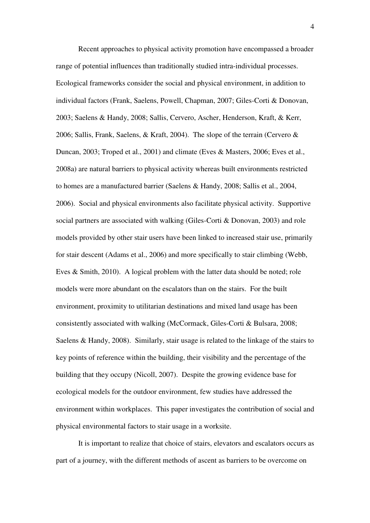Recent approaches to physical activity promotion have encompassed a broader range of potential influences than traditionally studied intra-individual processes. Ecological frameworks consider the social and physical environment, in addition to individual factors (Frank, Saelens, Powell, Chapman, 2007; Giles-Corti & Donovan, 2003; Saelens & Handy, 2008; Sallis, Cervero, Ascher, Henderson, Kraft, & Kerr, 2006; Sallis, Frank, Saelens, & Kraft, 2004). The slope of the terrain (Cervero & Duncan, 2003; Troped et al., 2001) and climate (Eves & Masters, 2006; Eves et al., 2008a) are natural barriers to physical activity whereas built environments restricted to homes are a manufactured barrier (Saelens & Handy, 2008; Sallis et al., 2004, 2006). Social and physical environments also facilitate physical activity. Supportive social partners are associated with walking (Giles-Corti & Donovan, 2003) and role models provided by other stair users have been linked to increased stair use, primarily for stair descent (Adams et al., 2006) and more specifically to stair climbing (Webb, Eves & Smith, 2010). A logical problem with the latter data should be noted; role models were more abundant on the escalators than on the stairs. For the built environment, proximity to utilitarian destinations and mixed land usage has been consistently associated with walking (McCormack, Giles-Corti & Bulsara, 2008; Saelens & Handy, 2008). Similarly, stair usage is related to the linkage of the stairs to key points of reference within the building, their visibility and the percentage of the building that they occupy (Nicoll, 2007). Despite the growing evidence base for ecological models for the outdoor environment, few studies have addressed the environment within workplaces. This paper investigates the contribution of social and physical environmental factors to stair usage in a worksite.

 It is important to realize that choice of stairs, elevators and escalators occurs as part of a journey, with the different methods of ascent as barriers to be overcome on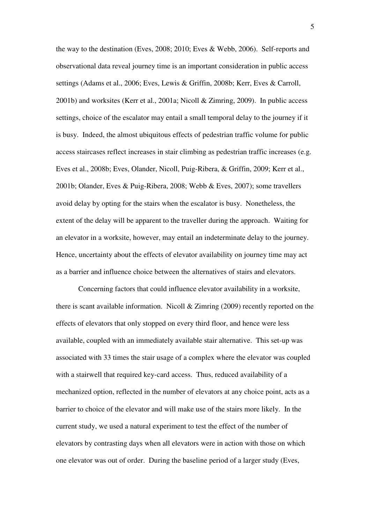the way to the destination (Eves, 2008; 2010; Eves & Webb, 2006). Self-reports and observational data reveal journey time is an important consideration in public access settings (Adams et al., 2006; Eves, Lewis & Griffin, 2008b; Kerr, Eves & Carroll, 2001b) and worksites (Kerr et al., 2001a; Nicoll & Zimring, 2009). In public access settings, choice of the escalator may entail a small temporal delay to the journey if it is busy. Indeed, the almost ubiquitous effects of pedestrian traffic volume for public access staircases reflect increases in stair climbing as pedestrian traffic increases (e.g. Eves et al., 2008b; Eves, Olander, Nicoll, Puig-Ribera, & Griffin, 2009; Kerr et al., 2001b; Olander, Eves & Puig-Ribera, 2008; Webb & Eves, 2007); some travellers avoid delay by opting for the stairs when the escalator is busy. Nonetheless, the extent of the delay will be apparent to the traveller during the approach. Waiting for an elevator in a worksite, however, may entail an indeterminate delay to the journey. Hence, uncertainty about the effects of elevator availability on journey time may act as a barrier and influence choice between the alternatives of stairs and elevators.

 Concerning factors that could influence elevator availability in a worksite, there is scant available information. Nicoll & Zimring (2009) recently reported on the effects of elevators that only stopped on every third floor, and hence were less available, coupled with an immediately available stair alternative. This set-up was associated with 33 times the stair usage of a complex where the elevator was coupled with a stairwell that required key-card access. Thus, reduced availability of a mechanized option, reflected in the number of elevators at any choice point, acts as a barrier to choice of the elevator and will make use of the stairs more likely. In the current study, we used a natural experiment to test the effect of the number of elevators by contrasting days when all elevators were in action with those on which one elevator was out of order. During the baseline period of a larger study (Eves,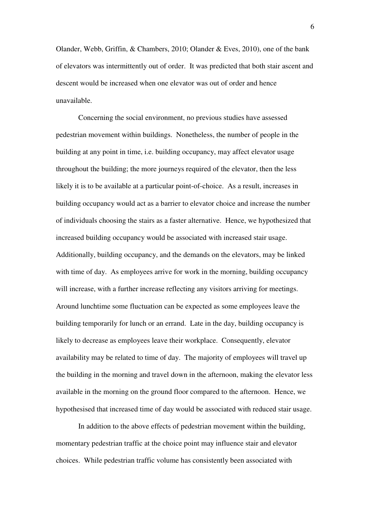Olander, Webb, Griffin, & Chambers, 2010; Olander & Eves, 2010), one of the bank of elevators was intermittently out of order. It was predicted that both stair ascent and descent would be increased when one elevator was out of order and hence unavailable.

 Concerning the social environment, no previous studies have assessed pedestrian movement within buildings. Nonetheless, the number of people in the building at any point in time, i.e. building occupancy, may affect elevator usage throughout the building; the more journeys required of the elevator, then the less likely it is to be available at a particular point-of-choice. As a result, increases in building occupancy would act as a barrier to elevator choice and increase the number of individuals choosing the stairs as a faster alternative. Hence, we hypothesized that increased building occupancy would be associated with increased stair usage. Additionally, building occupancy, and the demands on the elevators, may be linked with time of day. As employees arrive for work in the morning, building occupancy will increase, with a further increase reflecting any visitors arriving for meetings. Around lunchtime some fluctuation can be expected as some employees leave the building temporarily for lunch or an errand. Late in the day, building occupancy is likely to decrease as employees leave their workplace. Consequently, elevator availability may be related to time of day. The majority of employees will travel up the building in the morning and travel down in the afternoon, making the elevator less available in the morning on the ground floor compared to the afternoon. Hence, we hypothesised that increased time of day would be associated with reduced stair usage.

 In addition to the above effects of pedestrian movement within the building, momentary pedestrian traffic at the choice point may influence stair and elevator choices. While pedestrian traffic volume has consistently been associated with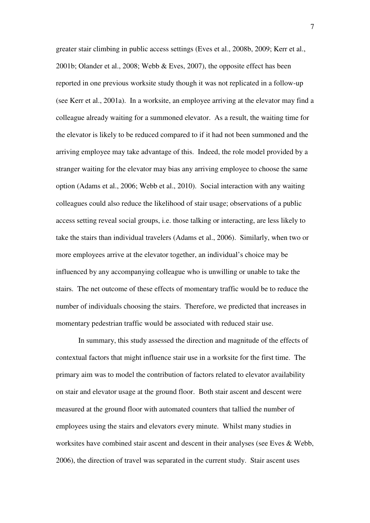greater stair climbing in public access settings (Eves et al., 2008b, 2009; Kerr et al., 2001b; Olander et al., 2008; Webb & Eves, 2007), the opposite effect has been reported in one previous worksite study though it was not replicated in a follow-up (see Kerr et al., 2001a). In a worksite, an employee arriving at the elevator may find a colleague already waiting for a summoned elevator. As a result, the waiting time for the elevator is likely to be reduced compared to if it had not been summoned and the arriving employee may take advantage of this. Indeed, the role model provided by a stranger waiting for the elevator may bias any arriving employee to choose the same option (Adams et al., 2006; Webb et al., 2010). Social interaction with any waiting colleagues could also reduce the likelihood of stair usage; observations of a public access setting reveal social groups, i.e. those talking or interacting, are less likely to take the stairs than individual travelers (Adams et al., 2006). Similarly, when two or more employees arrive at the elevator together, an individual's choice may be influenced by any accompanying colleague who is unwilling or unable to take the stairs. The net outcome of these effects of momentary traffic would be to reduce the number of individuals choosing the stairs. Therefore, we predicted that increases in momentary pedestrian traffic would be associated with reduced stair use.

 In summary, this study assessed the direction and magnitude of the effects of contextual factors that might influence stair use in a worksite for the first time. The primary aim was to model the contribution of factors related to elevator availability on stair and elevator usage at the ground floor. Both stair ascent and descent were measured at the ground floor with automated counters that tallied the number of employees using the stairs and elevators every minute. Whilst many studies in worksites have combined stair ascent and descent in their analyses (see Eves & Webb, 2006), the direction of travel was separated in the current study. Stair ascent uses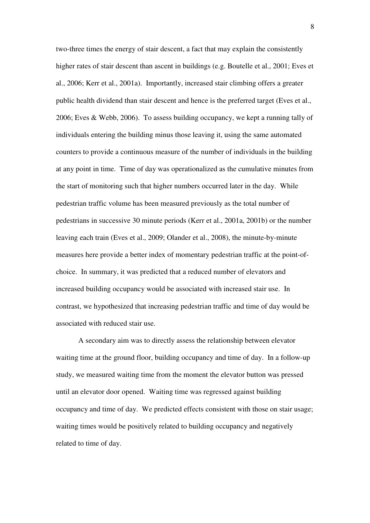two-three times the energy of stair descent, a fact that may explain the consistently higher rates of stair descent than ascent in buildings (e.g. Boutelle et al., 2001; Eves et al., 2006; Kerr et al., 2001a). Importantly, increased stair climbing offers a greater public health dividend than stair descent and hence is the preferred target (Eves et al., 2006; Eves & Webb, 2006). To assess building occupancy, we kept a running tally of individuals entering the building minus those leaving it, using the same automated counters to provide a continuous measure of the number of individuals in the building at any point in time. Time of day was operationalized as the cumulative minutes from the start of monitoring such that higher numbers occurred later in the day. While pedestrian traffic volume has been measured previously as the total number of pedestrians in successive 30 minute periods (Kerr et al., 2001a, 2001b) or the number leaving each train (Eves et al., 2009; Olander et al., 2008), the minute-by-minute measures here provide a better index of momentary pedestrian traffic at the point-ofchoice. In summary, it was predicted that a reduced number of elevators and increased building occupancy would be associated with increased stair use. In contrast, we hypothesized that increasing pedestrian traffic and time of day would be associated with reduced stair use.

 A secondary aim was to directly assess the relationship between elevator waiting time at the ground floor, building occupancy and time of day. In a follow-up study, we measured waiting time from the moment the elevator button was pressed until an elevator door opened. Waiting time was regressed against building occupancy and time of day. We predicted effects consistent with those on stair usage; waiting times would be positively related to building occupancy and negatively related to time of day.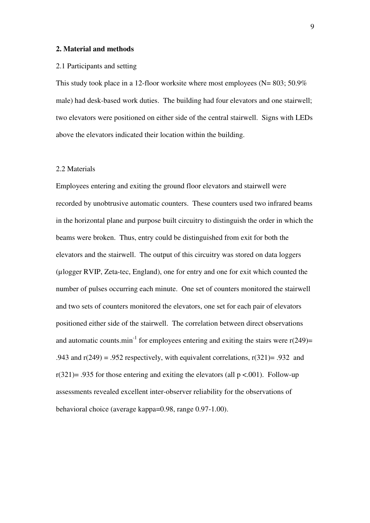#### **2. Material and methods**

#### 2.1 Participants and setting

This study took place in a 12-floor worksite where most employees ( $N=803$ ; 50.9%) male) had desk-based work duties. The building had four elevators and one stairwell; two elevators were positioned on either side of the central stairwell. Signs with LEDs above the elevators indicated their location within the building.

## 2.2 Materials

Employees entering and exiting the ground floor elevators and stairwell were recorded by unobtrusive automatic counters. These counters used two infrared beams in the horizontal plane and purpose built circuitry to distinguish the order in which the beams were broken. Thus, entry could be distinguished from exit for both the elevators and the stairwell. The output of this circuitry was stored on data loggers (µlogger RVIP, Zeta-tec, England), one for entry and one for exit which counted the number of pulses occurring each minute. One set of counters monitored the stairwell and two sets of counters monitored the elevators, one set for each pair of elevators positioned either side of the stairwell. The correlation between direct observations and automatic counts.min<sup>-1</sup> for employees entering and exiting the stairs were  $r(249)$ = .943 and  $r(249) = .952$  respectively, with equivalent correlations,  $r(321) = .932$  and  $r(321)$ = .935 for those entering and exiting the elevators (all p <.001). Follow-up assessments revealed excellent inter-observer reliability for the observations of behavioral choice (average kappa=0.98, range 0.97-1.00).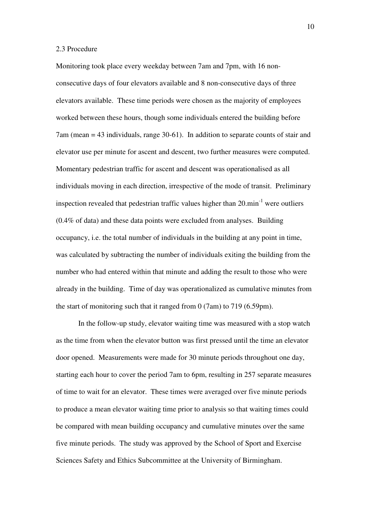#### 2.3 Procedure

Monitoring took place every weekday between 7am and 7pm, with 16 nonconsecutive days of four elevators available and 8 non-consecutive days of three elevators available. These time periods were chosen as the majority of employees worked between these hours, though some individuals entered the building before 7am (mean = 43 individuals, range 30-61). In addition to separate counts of stair and elevator use per minute for ascent and descent, two further measures were computed. Momentary pedestrian traffic for ascent and descent was operationalised as all individuals moving in each direction, irrespective of the mode of transit. Preliminary inspection revealed that pedestrian traffic values higher than  $20 \text{ min}^{-1}$  were outliers (0.4% of data) and these data points were excluded from analyses. Building occupancy, i.e. the total number of individuals in the building at any point in time, was calculated by subtracting the number of individuals exiting the building from the number who had entered within that minute and adding the result to those who were already in the building. Time of day was operationalized as cumulative minutes from the start of monitoring such that it ranged from 0 (7am) to 719 (6.59pm).

 In the follow-up study, elevator waiting time was measured with a stop watch as the time from when the elevator button was first pressed until the time an elevator door opened. Measurements were made for 30 minute periods throughout one day, starting each hour to cover the period 7am to 6pm, resulting in 257 separate measures of time to wait for an elevator. These times were averaged over five minute periods to produce a mean elevator waiting time prior to analysis so that waiting times could be compared with mean building occupancy and cumulative minutes over the same five minute periods. The study was approved by the School of Sport and Exercise Sciences Safety and Ethics Subcommittee at the University of Birmingham.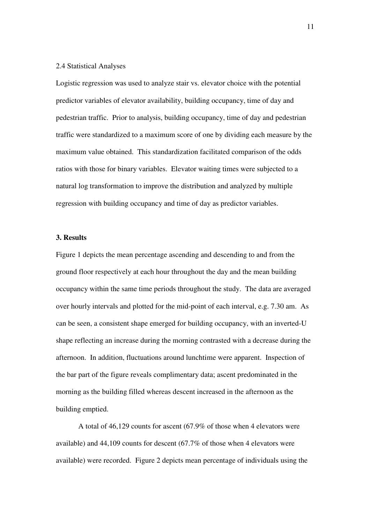## 2.4 Statistical Analyses

Logistic regression was used to analyze stair vs. elevator choice with the potential predictor variables of elevator availability, building occupancy, time of day and pedestrian traffic. Prior to analysis, building occupancy, time of day and pedestrian traffic were standardized to a maximum score of one by dividing each measure by the maximum value obtained. This standardization facilitated comparison of the odds ratios with those for binary variables. Elevator waiting times were subjected to a natural log transformation to improve the distribution and analyzed by multiple regression with building occupancy and time of day as predictor variables.

#### **3. Results**

Figure 1 depicts the mean percentage ascending and descending to and from the ground floor respectively at each hour throughout the day and the mean building occupancy within the same time periods throughout the study. The data are averaged over hourly intervals and plotted for the mid-point of each interval, e.g. 7.30 am. As can be seen, a consistent shape emerged for building occupancy, with an inverted-U shape reflecting an increase during the morning contrasted with a decrease during the afternoon. In addition, fluctuations around lunchtime were apparent. Inspection of the bar part of the figure reveals complimentary data; ascent predominated in the morning as the building filled whereas descent increased in the afternoon as the building emptied.

 A total of 46,129 counts for ascent (67.9% of those when 4 elevators were available) and 44,109 counts for descent (67.7% of those when 4 elevators were available) were recorded. Figure 2 depicts mean percentage of individuals using the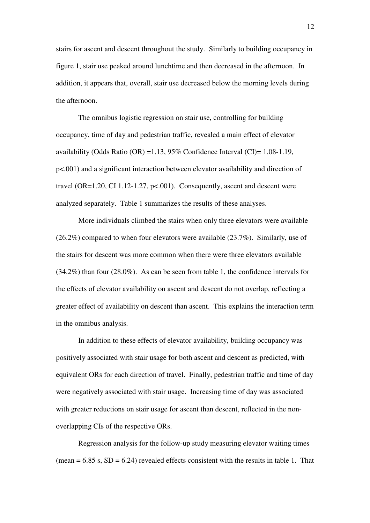stairs for ascent and descent throughout the study. Similarly to building occupancy in figure 1, stair use peaked around lunchtime and then decreased in the afternoon. In addition, it appears that, overall, stair use decreased below the morning levels during the afternoon.

 The omnibus logistic regression on stair use, controlling for building occupancy, time of day and pedestrian traffic, revealed a main effect of elevator availability (Odds Ratio (OR) =1.13, 95% Confidence Interval (CI)= 1.08-1.19, p<.001) and a significant interaction between elevator availability and direction of travel (OR=1.20, CI 1.12-1.27,  $p<0.01$ ). Consequently, ascent and descent were analyzed separately. Table 1 summarizes the results of these analyses.

 More individuals climbed the stairs when only three elevators were available (26.2%) compared to when four elevators were available (23.7%). Similarly, use of the stairs for descent was more common when there were three elevators available (34.2%) than four (28.0%). As can be seen from table 1, the confidence intervals for the effects of elevator availability on ascent and descent do not overlap, reflecting a greater effect of availability on descent than ascent. This explains the interaction term in the omnibus analysis.

 In addition to these effects of elevator availability, building occupancy was positively associated with stair usage for both ascent and descent as predicted, with equivalent ORs for each direction of travel. Finally, pedestrian traffic and time of day were negatively associated with stair usage. Increasing time of day was associated with greater reductions on stair usage for ascent than descent, reflected in the nonoverlapping CIs of the respective ORs.

 Regression analysis for the follow-up study measuring elevator waiting times (mean  $= 6.85$  s,  $SD = 6.24$ ) revealed effects consistent with the results in table 1. That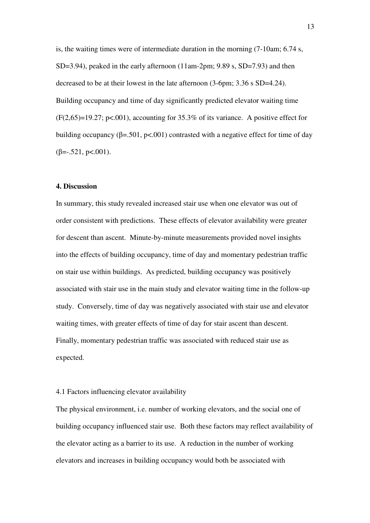is, the waiting times were of intermediate duration in the morning (7-10am; 6.74 s,  $SD=3.94$ ), peaked in the early afternoon (11am-2pm; 9.89 s,  $SD=7.93$ ) and then decreased to be at their lowest in the late afternoon (3-6pm; 3.36 s SD=4.24). Building occupancy and time of day significantly predicted elevator waiting time  $(F(2,65)=19.27; p<.001)$ , accounting for 35.3% of its variance. A positive effect for building occupancy (β=.501, p<.001) contrasted with a negative effect for time of day  $(\beta = .521, \text{ p} < .001).$ 

#### **4. Discussion**

In summary, this study revealed increased stair use when one elevator was out of order consistent with predictions. These effects of elevator availability were greater for descent than ascent. Minute-by-minute measurements provided novel insights into the effects of building occupancy, time of day and momentary pedestrian traffic on stair use within buildings. As predicted, building occupancy was positively associated with stair use in the main study and elevator waiting time in the follow-up study. Conversely, time of day was negatively associated with stair use and elevator waiting times, with greater effects of time of day for stair ascent than descent. Finally, momentary pedestrian traffic was associated with reduced stair use as expected.

# 4.1 Factors influencing elevator availability

The physical environment, i.e. number of working elevators, and the social one of building occupancy influenced stair use. Both these factors may reflect availability of the elevator acting as a barrier to its use. A reduction in the number of working elevators and increases in building occupancy would both be associated with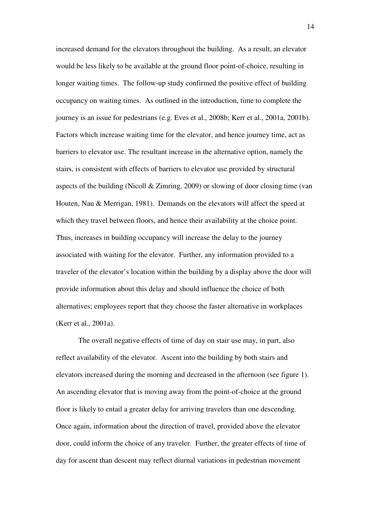increased demand for the elevators throughout the building. As a result, an elevator would be less likely to be available at the ground floor point-of-choice, resulting in longer waiting times. The follow-up study confirmed the positive effect of building occupancy on waiting times. As outlined in the introduction, time to complete the journey is an issue for pedestrians (e.g. Eves et al., 2008b; Kerr et al., 2001a, 2001b). Factors which increase waiting time for the elevator, and hence journey time, act as barriers to elevator use. The resultant increase in the alternative option, namely the stairs, is consistent with effects of barriers to elevator use provided by structural aspects of the building (Nicoll & Zimring, 2009) or slowing of door closing time (van Houten, Nau & Merrigan, 1981). Demands on the elevators will affect the speed at which they travel between floors, and hence their availability at the choice point. Thus, increases in building occupancy will increase the delay to the journey associated with waiting for the elevator. Further, any information provided to a traveler of the elevator's location within the building by a display above the door will provide information about this delay and should influence the choice of both alternatives; employees report that they choose the faster alternative in workplaces (Kerr et al., 2001a).

 The overall negative effects of time of day on stair use may, in part, also reflect availability of the elevator. Ascent into the building by both stairs and elevators increased during the morning and decreased in the afternoon (see figure 1). An ascending elevator that is moving away from the point-of-choice at the ground floor is likely to entail a greater delay for arriving travelers than one descending. Once again, information about the direction of travel, provided above the elevator door, could inform the choice of any traveler. Further, the greater effects of time of day for ascent than descent may reflect diurnal variations in pedestrian movement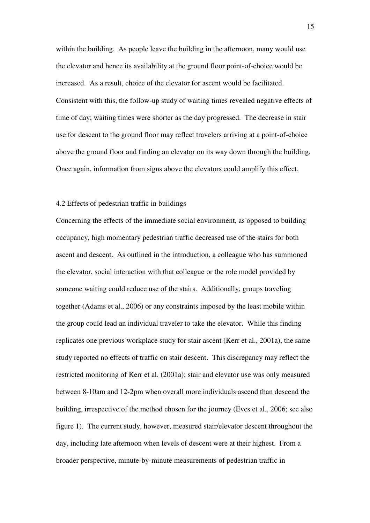within the building. As people leave the building in the afternoon, many would use the elevator and hence its availability at the ground floor point-of-choice would be increased. As a result, choice of the elevator for ascent would be facilitated. Consistent with this, the follow-up study of waiting times revealed negative effects of time of day; waiting times were shorter as the day progressed. The decrease in stair use for descent to the ground floor may reflect travelers arriving at a point-of-choice above the ground floor and finding an elevator on its way down through the building. Once again, information from signs above the elevators could amplify this effect.

## 4.2 Effects of pedestrian traffic in buildings

Concerning the effects of the immediate social environment, as opposed to building occupancy, high momentary pedestrian traffic decreased use of the stairs for both ascent and descent. As outlined in the introduction, a colleague who has summoned the elevator, social interaction with that colleague or the role model provided by someone waiting could reduce use of the stairs. Additionally, groups traveling together (Adams et al., 2006) or any constraints imposed by the least mobile within the group could lead an individual traveler to take the elevator. While this finding replicates one previous workplace study for stair ascent (Kerr et al., 2001a), the same study reported no effects of traffic on stair descent. This discrepancy may reflect the restricted monitoring of Kerr et al. (2001a); stair and elevator use was only measured between 8-10am and 12-2pm when overall more individuals ascend than descend the building, irrespective of the method chosen for the journey (Eves et al., 2006; see also figure 1). The current study, however, measured stair/elevator descent throughout the day, including late afternoon when levels of descent were at their highest. From a broader perspective, minute-by-minute measurements of pedestrian traffic in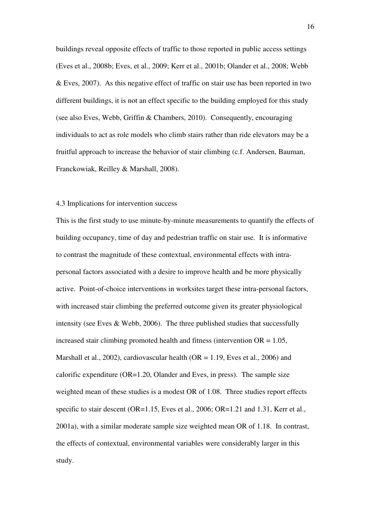buildings reveal opposite effects of traffic to those reported in public access settings (Eves et al., 2008b; Eves, et al., 2009; Kerr et al., 2001b; Olander et al., 2008; Webb & Eves, 2007). As this negative effect of traffic on stair use has been reported in two different buildings, it is not an effect specific to the building employed for this study (see also Eves, Webb, Griffin & Chambers, 2010). Consequently, encouraging individuals to act as role models who climb stairs rather than ride elevators may be a fruitful approach to increase the behavior of stair climbing (c.f. Andersen, Bauman, Franckowiak, Reilley & Marshall, 2008).

#### 4.3 Implications for intervention success

This is the first study to use minute-by-minute measurements to quantify the effects of building occupancy, time of day and pedestrian traffic on stair use. It is informative to contrast the magnitude of these contextual, environmental effects with intrapersonal factors associated with a desire to improve health and be more physically active. Point-of-choice interventions in worksites target these intra-personal factors, with increased stair climbing the preferred outcome given its greater physiological intensity (see Eves & Webb, 2006). The three published studies that successfully increased stair climbing promoted health and fitness (intervention  $OR = 1.05$ , Marshall et al., 2002), cardiovascular health ( $OR = 1.19$ , Eves et al., 2006) and calorific expenditure (OR=1.20, Olander and Eves, in press). The sample size weighted mean of these studies is a modest OR of 1.08. Three studies report effects specific to stair descent (OR=1.15, Eves et al., 2006; OR=1.21 and 1.31, Kerr et al., 2001a), with a similar moderate sample size weighted mean OR of 1.18. In contrast, the effects of contextual, environmental variables were considerably larger in this study.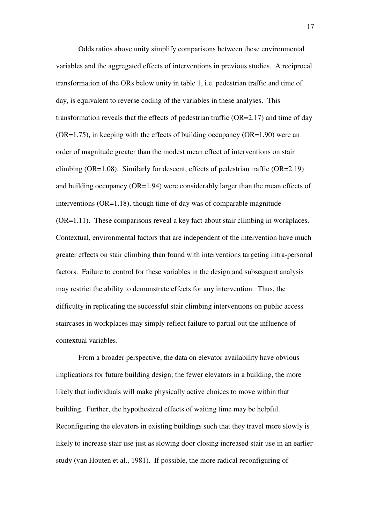Odds ratios above unity simplify comparisons between these environmental variables and the aggregated effects of interventions in previous studies. A reciprocal transformation of the ORs below unity in table 1, i.e. pedestrian traffic and time of day, is equivalent to reverse coding of the variables in these analyses. This transformation reveals that the effects of pedestrian traffic (OR=2.17) and time of day  $(OR=1.75)$ , in keeping with the effects of building occupancy  $(OR=1.90)$  were an order of magnitude greater than the modest mean effect of interventions on stair climbing (OR=1.08). Similarly for descent, effects of pedestrian traffic (OR=2.19) and building occupancy (OR=1.94) were considerably larger than the mean effects of interventions  $(OR=1.18)$ , though time of day was of comparable magnitude (OR=1.11). These comparisons reveal a key fact about stair climbing in workplaces. Contextual, environmental factors that are independent of the intervention have much greater effects on stair climbing than found with interventions targeting intra-personal factors. Failure to control for these variables in the design and subsequent analysis may restrict the ability to demonstrate effects for any intervention. Thus, the difficulty in replicating the successful stair climbing interventions on public access staircases in workplaces may simply reflect failure to partial out the influence of contextual variables.

 From a broader perspective, the data on elevator availability have obvious implications for future building design; the fewer elevators in a building, the more likely that individuals will make physically active choices to move within that building. Further, the hypothesized effects of waiting time may be helpful. Reconfiguring the elevators in existing buildings such that they travel more slowly is likely to increase stair use just as slowing door closing increased stair use in an earlier study (van Houten et al., 1981). If possible, the more radical reconfiguring of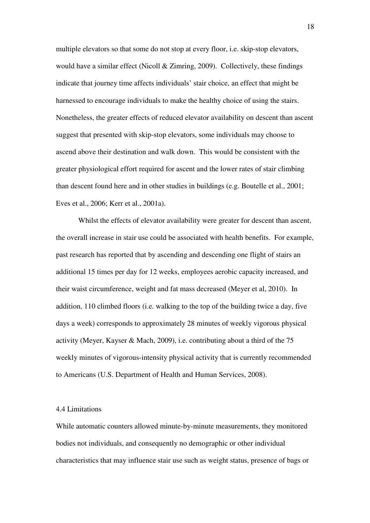multiple elevators so that some do not stop at every floor, i.e. skip-stop elevators, would have a similar effect (Nicoll  $& Zimring, 2009$ ). Collectively, these findings indicate that journey time affects individuals' stair choice, an effect that might be harnessed to encourage individuals to make the healthy choice of using the stairs. Nonetheless, the greater effects of reduced elevator availability on descent than ascent suggest that presented with skip-stop elevators, some individuals may choose to ascend above their destination and walk down. This would be consistent with the greater physiological effort required for ascent and the lower rates of stair climbing than descent found here and in other studies in buildings (e.g. Boutelle et al., 2001; Eves et al., 2006; Kerr et al., 2001a).

 Whilst the effects of elevator availability were greater for descent than ascent, the overall increase in stair use could be associated with health benefits. For example, past research has reported that by ascending and descending one flight of stairs an additional 15 times per day for 12 weeks, employees aerobic capacity increased, and their waist circumference, weight and fat mass decreased (Meyer et al, 2010). In addition, 110 climbed floors (i.e. walking to the top of the building twice a day, five days a week) corresponds to approximately 28 minutes of weekly vigorous physical activity (Meyer, Kayser & Mach, 2009), i.e. contributing about a third of the 75 weekly minutes of vigorous-intensity physical activity that is currently recommended to Americans (U.S. Department of Health and Human Services, 2008).

#### 4.4 Limitations

While automatic counters allowed minute-by-minute measurements, they monitored bodies not individuals, and consequently no demographic or other individual characteristics that may influence stair use such as weight status, presence of bags or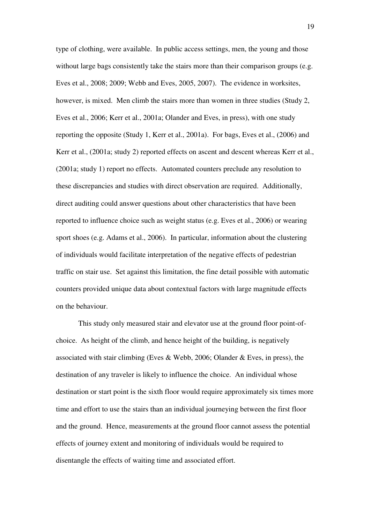type of clothing, were available. In public access settings, men, the young and those without large bags consistently take the stairs more than their comparison groups (e.g. Eves et al., 2008; 2009; Webb and Eves, 2005, 2007). The evidence in worksites, however, is mixed. Men climb the stairs more than women in three studies (Study 2, Eves et al., 2006; Kerr et al., 2001a; Olander and Eves, in press), with one study reporting the opposite (Study 1, Kerr et al., 2001a). For bags, Eves et al., (2006) and Kerr et al., (2001a; study 2) reported effects on ascent and descent whereas Kerr et al., (2001a; study 1) report no effects. Automated counters preclude any resolution to these discrepancies and studies with direct observation are required. Additionally, direct auditing could answer questions about other characteristics that have been reported to influence choice such as weight status (e.g. Eves et al., 2006) or wearing sport shoes (e.g. Adams et al., 2006). In particular, information about the clustering of individuals would facilitate interpretation of the negative effects of pedestrian traffic on stair use. Set against this limitation, the fine detail possible with automatic counters provided unique data about contextual factors with large magnitude effects on the behaviour.

 This study only measured stair and elevator use at the ground floor point-ofchoice. As height of the climb, and hence height of the building, is negatively associated with stair climbing (Eves & Webb, 2006; Olander & Eves, in press), the destination of any traveler is likely to influence the choice. An individual whose destination or start point is the sixth floor would require approximately six times more time and effort to use the stairs than an individual journeying between the first floor and the ground. Hence, measurements at the ground floor cannot assess the potential effects of journey extent and monitoring of individuals would be required to disentangle the effects of waiting time and associated effort.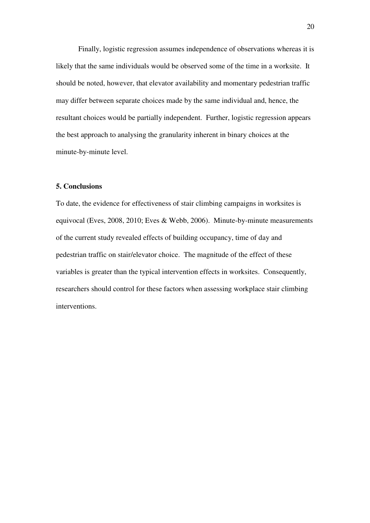Finally, logistic regression assumes independence of observations whereas it is likely that the same individuals would be observed some of the time in a worksite. It should be noted, however, that elevator availability and momentary pedestrian traffic may differ between separate choices made by the same individual and, hence, the resultant choices would be partially independent. Further, logistic regression appears the best approach to analysing the granularity inherent in binary choices at the minute-by-minute level.

## **5. Conclusions**

To date, the evidence for effectiveness of stair climbing campaigns in worksites is equivocal (Eves, 2008, 2010; Eves & Webb, 2006). Minute-by-minute measurements of the current study revealed effects of building occupancy, time of day and pedestrian traffic on stair/elevator choice. The magnitude of the effect of these variables is greater than the typical intervention effects in worksites. Consequently, researchers should control for these factors when assessing workplace stair climbing interventions.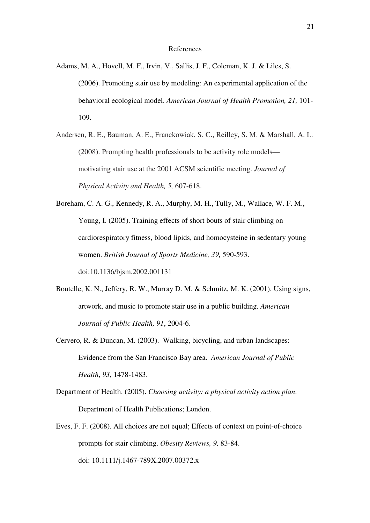#### References

- Adams, M. A., Hovell, M. F., Irvin, V., Sallis, J. F., Coleman, K. J. & Liles, S. (2006). Promoting stair use by modeling: An experimental application of the behavioral ecological model. *American Journal of Health Promotion, 21,* 101- 109.
- Andersen, R. E., Bauman, A. E., Franckowiak, S. C., Reilley, S. M. & Marshall, A. L. (2008). Prompting health professionals to be activity role models motivating stair use at the 2001 ACSM scientific meeting. *Journal of Physical Activity and Health, 5,* 607-618.

Boreham, C. A. G., Kennedy, R. A., Murphy, M. H., Tully, M., Wallace, W. F. M., Young, I. (2005). Training effects of short bouts of stair climbing on cardiorespiratory fitness, blood lipids, and homocysteine in sedentary young women. *British Journal of Sports Medicine, 39,* 590-593. doi:10.1136/bjsm.2002.001131

- Boutelle, K. N., Jeffery, R. W., Murray D. M. & Schmitz, M. K. (2001). Using signs, artwork, and music to promote stair use in a public building. *American Journal of Public Health, 91*, 2004-6.
- Cervero, R. & Duncan, M. (2003). Walking, bicycling, and urban landscapes: Evidence from the San Francisco Bay area. *American Journal of Public Health*, *93,* 1478-1483.
- Department of Health. (2005). *Choosing activity: a physical activity action plan*. Department of Health Publications; London.
- Eves, F. F. (2008). All choices are not equal; Effects of context on point-of-choice prompts for stair climbing. *Obesity Reviews, 9,* 83-84. doi: 10.1111/j.1467-789X.2007.00372.x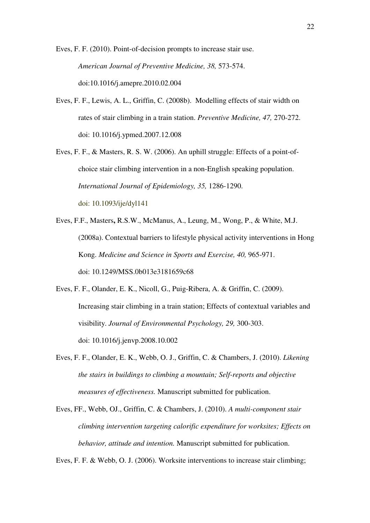Eves, F. F. (2010). Point-of-decision prompts to increase stair use. *American Journal of Preventive Medicine, 38,* 573-574. doi:10.1016/j.amepre.2010.02.004

- Eves, F. F., Lewis, A. L., Griffin, C. (2008b). Modelling effects of stair width on rates of stair climbing in a train station. *Preventive Medicine, 47,* 270-272. doi: 10.1016/j.ypmed.2007.12.008
- Eves, F. F., & Masters, R. S. W. (2006). An uphill struggle: Effects of a point-of choice stair climbing intervention in a non-English speaking population. *International Journal of Epidemiology, 35,* 1286-1290. doi: 10.1093/ije/dyl141
- Eves, F.F., Masters**,** R.S.W., McManus, A., Leung, M., Wong, P., & White, M.J. (2008a). Contextual barriers to lifestyle physical activity interventions in Hong Kong. *Medicine and Science in Sports and Exercise, 40,* 965-971. doi: 10.1249/MSS.0b013e3181659c68
- Eves, F. F., Olander, E. K., Nicoll, G., Puig-Ribera, A. & Griffin, C. (2009). Increasing stair climbing in a train station; Effects of contextual variables and visibility. *Journal of Environmental Psychology, 29,* 300-303. doi: 10.1016/j.jenvp.2008.10.002
- Eves, F. F., Olander, E. K., Webb, O. J., Griffin, C. & Chambers, J. (2010). *Likening the stairs in buildings to climbing a mountain; Self-reports and objective measures of effectiveness.* Manuscript submitted for publication.
- Eves, FF., Webb, OJ., Griffin, C. & Chambers, J. (2010). *A multi-component stair climbing intervention targeting calorific expenditure for worksites; Effects on behavior, attitude and intention.* Manuscript submitted for publication.

Eves, F. F. & Webb, O. J. (2006). Worksite interventions to increase stair climbing;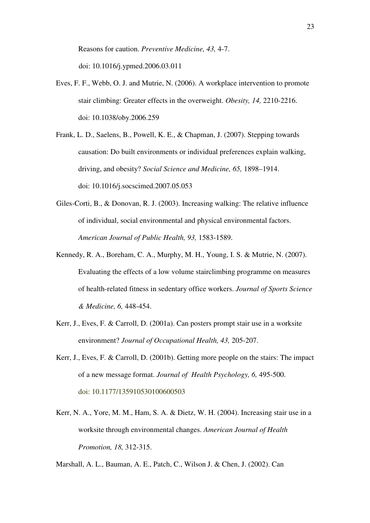Reasons for caution. *Preventive Medicine, 43,* 4-7. doi: 10.1016/j.ypmed.2006.03.011

- Eves, F. F., Webb, O. J. and Mutrie, N. (2006). A workplace intervention to promote stair climbing: Greater effects in the overweight. *Obesity, 14,* 2210-2216. doi: 10.1038/oby.2006.259
- Frank, L. D., Saelens, B., Powell, K. E., & Chapman, J. (2007). Stepping towards causation: Do built environments or individual preferences explain walking, driving, and obesity? *Social Science and Medicine, 65,* 1898–1914. doi: 10.1016/j.socscimed.2007.05.053
- Giles-Corti, B., & Donovan, R. J. (2003). Increasing walking: The relative influence of individual, social environmental and physical environmental factors.  *American Journal of Public Health, 93,* 1583-1589.
- Kennedy, R. A., Boreham, C. A., Murphy, M. H., Young, I. S. & Mutrie, N. (2007). Evaluating the effects of a low volume stairclimbing programme on measures of health-related fitness in sedentary office workers. *Journal of Sports Science & Medicine, 6,* 448-454.
- Kerr, J., Eves, F. & Carroll, D. (2001a). Can posters prompt stair use in a worksite environment? *Journal of Occupational Health, 43,* 205-207.
- Kerr, J., Eves, F. & Carroll, D. (2001b). Getting more people on the stairs: The impact of a new message format. *Journal of Health Psychology, 6,* 495-500. doi: 10.1177/135910530100600503
- Kerr, N. A., Yore, M. M., Ham, S. A. & Dietz, W. H. (2004). Increasing stair use in a worksite through environmental changes. *American Journal of Health Promotion, 18,* 312-315.

Marshall, A. L., Bauman, A. E., Patch, C., Wilson J. & Chen, J. (2002). Can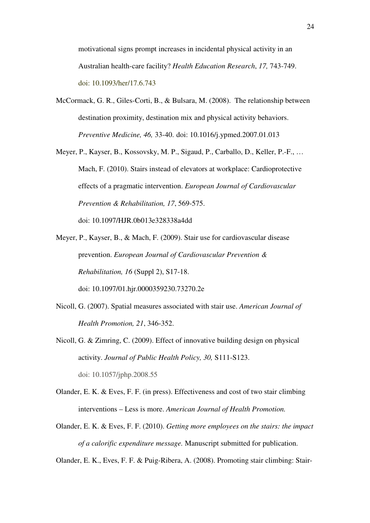motivational signs prompt increases in incidental physical activity in an Australian health-care facility? *Health Education Research*, *17,* 743-749. doi: 10.1093/her/17.6.743

- McCormack, G. R., Giles-Corti, B., & Bulsara, M. (2008). The relationship between destination proximity, destination mix and physical activity behaviors. *Preventive Medicine, 46,* 33-40. doi: 10.1016/j.ypmed.2007.01.013
- Meyer, P., Kayser, B., Kossovsky, M. P., Sigaud, P., Carballo, D., Keller, P.-F., … Mach, F. (2010). Stairs instead of elevators at workplace: Cardioprotective effects of a pragmatic intervention. *European Journal of Cardiovascular Prevention & Rehabilitation, 17*, 569-575.

doi: 10.1097/HJR.0b013e328338a4dd

- Meyer, P., Kayser, B., & Mach, F. (2009). Stair use for cardiovascular disease prevention. *European Journal of Cardiovascular Prevention & Rehabilitation, 16* (Suppl 2), S17-18. doi: 10.1097/01.hjr.0000359230.73270.2e
- Nicoll, G. (2007). Spatial measures associated with stair use. *American Journal of Health Promotion, 21*, 346-352.
- Nicoll, G. & Zimring, C. (2009). Effect of innovative building design on physical activity. *Journal of Public Health Policy, 30,* S111-S123. doi: 10.1057/jphp.2008.55
- Olander, E. K. & Eves, F. F. (in press). Effectiveness and cost of two stair climbing interventions – Less is more. *American Journal of Health Promotion.*
- Olander, E. K. & Eves, F. F. (2010). *Getting more employees on the stairs: the impact of a calorific expenditure message.* Manuscript submitted for publication.

Olander, E. K., Eves, F. F. & Puig-Ribera, A. (2008). Promoting stair climbing: Stair-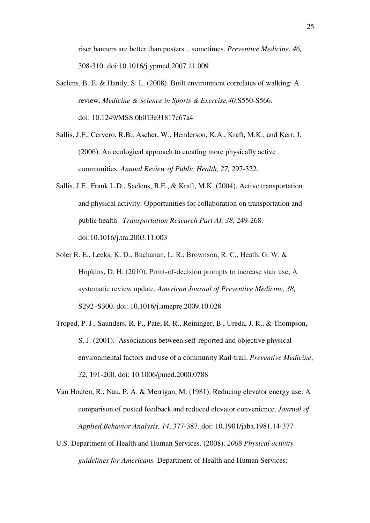riser banners are better than posters... sometimes. *Preventive Medicine*, *46,* 308-310. doi:10.1016/j.ypmed.2007.11.009

- Saelens, B. E. & Handy, S. L. (2008). Built environment correlates of walking: A review. *Medicine & Science in Sports & Exercise,40,*S550-S566. doi: 10.1249/MSS.0b013e31817c67a4
- Sallis, J.F., Cervero, R.B., Ascher, W., Henderson, K.A., Kraft, M.K., and Kerr, J. (2006). An ecological approach to creating more physically active communities. *Annual Review of Public Health, 27,* 297-322.
- Sallis, J.F., Frank L.D., Saelens, B.E., & Kraft, M.K. (2004). Active transportation and physical activity: Opportunities for collaboration on transportation and public health. *Transportation Research Part AI, 38,* 249-268. doi:10.1016/j.tra.2003.11.003
- Soler R. E., Leeks, K. D., Buchanan, L. R., Brownson, R. C., Heath, G. W. & Hopkins, D. H. (2010). Point-of-decision prompts to increase stair use; A systematic review update. *American Journal of Preventive Medicine, 38,*  S292–S300. doi: 10.1016/j.amepre.2009.10.028
- Troped, P. J., Saunders, R. P., Pate, R. R., Reininger, B., Ureda, J. R., & Thompson, S. J. (2001). Associations between self-reported and objective physical environmental factors and use of a community Rail-trail. *Preventive Medicine*, *32,* 191-200. doi: 10.1006/pmed.2000.0788
- Van Houten, R., Nau, P. A. & Merrigan, M. (1981). Reducing elevator energy use: A comparison of posted feedback and reduced elevator convenience. *Journal of Applied Behavior Analysis, 14*, 377-387. doi: 10.1901/jaba.1981.14-377
- U.S. Department of Health and Human Services. (2008). *2008 Physical activity guidelines for Americans.* Department of Health and Human Services;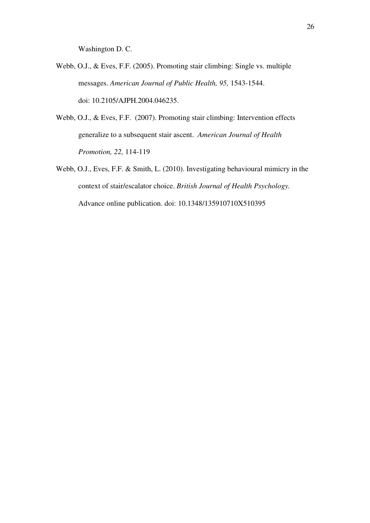Washington D. C.

- Webb, O.J., & Eves, F.F. (2005). Promoting stair climbing: Single vs. multiple messages. *American Journal of Public Health, 95,* 1543-1544. doi: 10.2105/AJPH.2004.046235.
- Webb, O.J., & Eves, F.F. (2007). Promoting stair climbing: Intervention effects generalize to a subsequent stair ascent. *American Journal of Health Promotion, 22,* 114-119
- Webb, O.J., Eves, F.F. & Smith, L. (2010). Investigating behavioural mimicry in the context of stair/escalator choice. *British Journal of Health Psychology.* Advance online publication. doi: 10.1348/135910710X510395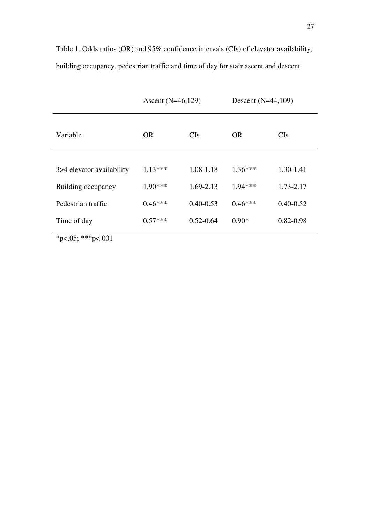Table 1. Odds ratios (OR) and 95% confidence intervals (CIs) of elevator availability, building occupancy, pedestrian traffic and time of day for stair ascent and descent.

|                           | Ascent $(N=46,129)$ |               | Descent $(N=44,109)$ |               |
|---------------------------|---------------------|---------------|----------------------|---------------|
| Variable                  | <b>OR</b>           | CIs           | <b>OR</b>            | CIs           |
|                           |                     |               |                      |               |
| 3>4 elevator availability | $1.13***$           | 1.08-1.18     | $1.36***$            | 1.30-1.41     |
| Building occupancy        | $1.90***$           | 1.69-2.13     | $1.94***$            | 1.73-2.17     |
| Pedestrian traffic        | $0.46***$           | $0.40 - 0.53$ | $0.46***$            | $0.40 - 0.52$ |
| Time of day               | $0.57***$           | $0.52 - 0.64$ | $0.90*$              | $0.82 - 0.98$ |
| *p<.05; ***p<.001         |                     |               |                      |               |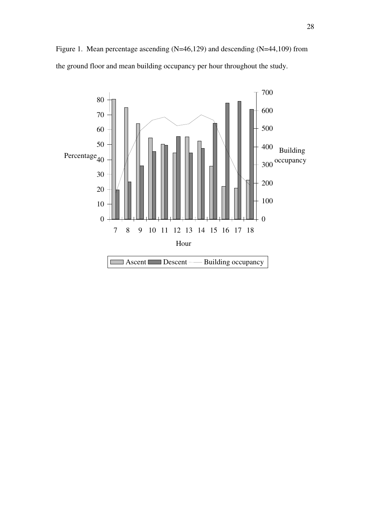Figure 1. Mean percentage ascending (N=46,129) and descending (N=44,109) from the ground floor and mean building occupancy per hour throughout the study.